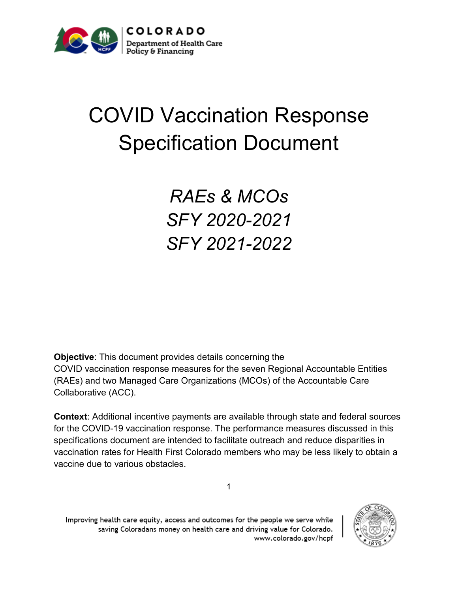

## COVID Vaccination Response Specification Document

### *RAEs & MCOs SFY 2020-2021 SFY 2021-2022*

**Objective**: This document provides details concerning the COVID vaccination response measures for the seven Regional Accountable Entities (RAEs) and two Managed Care Organizations (MCOs) of the Accountable Care Collaborative (ACC).

**Context**: Additional incentive payments are available through state and federal sources for the COVID-19 vaccination response. The performance measures discussed in this specifications document are intended to facilitate outreach and reduce disparities in vaccination rates for Health First Colorado members who may be less likely to obtain a vaccine due to various obstacles.

1



Improving health care equity, access and outcomes for the people we serve while saving Coloradans money on health care and driving value for Colorado. www.colorado.gov/hcpf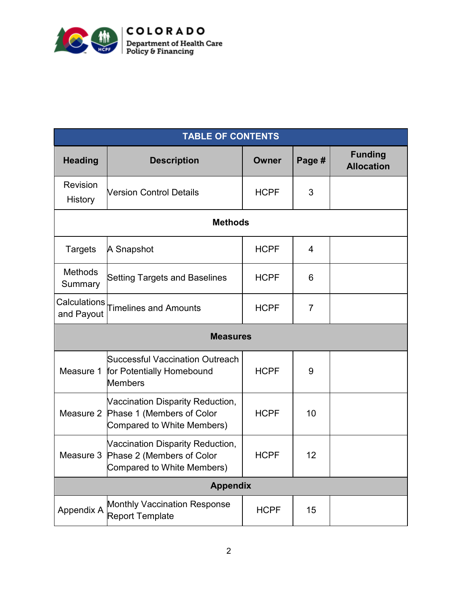

|                            | <b>TABLE OF CONTENTS</b>                                                                              |              |                |                                     |  |  |  |
|----------------------------|-------------------------------------------------------------------------------------------------------|--------------|----------------|-------------------------------------|--|--|--|
| <b>Heading</b>             | <b>Description</b>                                                                                    | <b>Owner</b> | Page #         | <b>Funding</b><br><b>Allocation</b> |  |  |  |
| Revision<br><b>History</b> | <b>Nersion Control Details</b>                                                                        | <b>HCPF</b>  | 3              |                                     |  |  |  |
|                            | <b>Methods</b>                                                                                        |              |                |                                     |  |  |  |
| <b>Targets</b>             | A Snapshot                                                                                            | <b>HCPF</b>  | 4              |                                     |  |  |  |
| <b>Methods</b><br>Summary  | <b>Setting Targets and Baselines</b>                                                                  | <b>HCPF</b>  | 6              |                                     |  |  |  |
| Calculations<br>and Payout | <b>Timelines and Amounts</b>                                                                          | <b>HCPF</b>  | $\overline{7}$ |                                     |  |  |  |
|                            | <b>Measures</b>                                                                                       |              |                |                                     |  |  |  |
|                            | <b>Successful Vaccination Outreach</b><br>Measure 1   for Potentially Homebound<br><b>Members</b>     | <b>HCPF</b>  | 9              |                                     |  |  |  |
|                            | Vaccination Disparity Reduction,<br>Measure 2 Phase 1 (Members of Color<br>Compared to White Members) | <b>HCPF</b>  | 10             |                                     |  |  |  |
| Measure 3                  | Vaccination Disparity Reduction,<br>Phase 2 (Members of Color<br>Compared to White Members)           | <b>HCPF</b>  | 12             |                                     |  |  |  |
|                            | <b>Appendix</b>                                                                                       |              |                |                                     |  |  |  |
| Appendix A                 | <b>Monthly Vaccination Response</b><br><b>Report Template</b>                                         | <b>HCPF</b>  | 15             |                                     |  |  |  |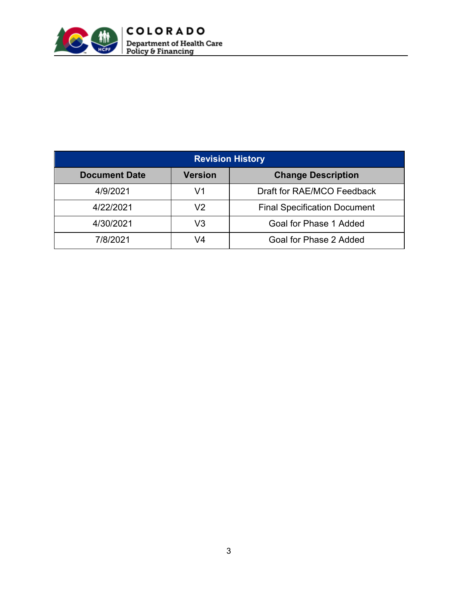

| <b>Revision History</b> |                |                                     |  |
|-------------------------|----------------|-------------------------------------|--|
| <b>Document Date</b>    | <b>Version</b> | <b>Change Description</b>           |  |
| 4/9/2021                | V1             | Draft for RAE/MCO Feedback          |  |
| 4/22/2021               | V2             | <b>Final Specification Document</b> |  |
| 4/30/2021               | V3             | Goal for Phase 1 Added              |  |
| 7/8/2021                | 74             | Goal for Phase 2 Added              |  |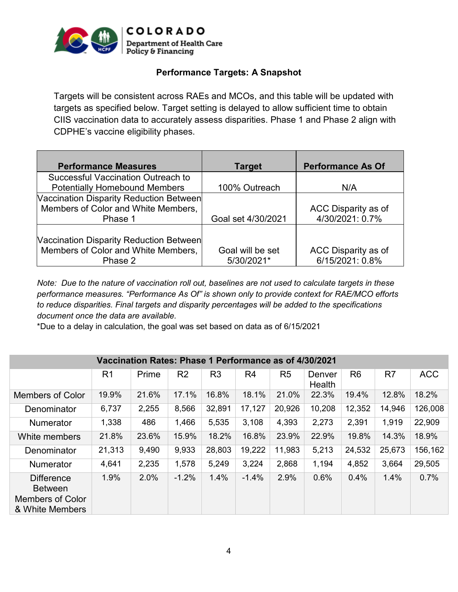

#### **Performance Targets: A Snapshot**

Targets will be consistent across RAEs and MCOs, and this table will be updated with targets as specified below. Target setting is delayed to allow sufficient time to obtain CIIS vaccination data to accurately assess disparities. Phase 1 and Phase 2 align with CDPHE's vaccine eligibility phases.

| <b>Performance Measures</b>             | Target             | <b>Performance As Of</b> |
|-----------------------------------------|--------------------|--------------------------|
| Successful Vaccination Outreach to      |                    |                          |
| <b>Potentially Homebound Members</b>    | 100% Outreach      | N/A                      |
| Vaccination Disparity Reduction Between |                    |                          |
| Members of Color and White Members,     |                    | ACC Disparity as of      |
| Phase 1                                 | Goal set 4/30/2021 | 4/30/2021: 0.7%          |
|                                         |                    |                          |
| Vaccination Disparity Reduction Between |                    |                          |
| Members of Color and White Members,     | Goal will be set   | ACC Disparity as of      |
| Phase 2                                 | 5/30/2021*         | 6/15/2021: 0.8%          |

*Note: Due to the nature of vaccination roll out, baselines are not used to calculate targets in these performance measures. "Performance As Of" is shown only to provide context for RAE/MCO efforts to reduce disparities. Final targets and disparity percentages will be added to the specifications document once the data are available.*

\*Due to a delay in calculation, the goal was set based on data as of 6/15/2021

|                                                                            | Vaccination Rates: Phase 1 Performance as of 4/30/2021 |       |                |                |                |                |                  |                |                |            |
|----------------------------------------------------------------------------|--------------------------------------------------------|-------|----------------|----------------|----------------|----------------|------------------|----------------|----------------|------------|
|                                                                            | R <sub>1</sub>                                         | Prime | R <sub>2</sub> | R <sub>3</sub> | R <sub>4</sub> | R <sub>5</sub> | Denver<br>Health | R <sub>6</sub> | R <sub>7</sub> | <b>ACC</b> |
| Members of Color                                                           | 19.9%                                                  | 21.6% | 17.1%          | 16.8%          | 18.1%          | 21.0%          | 22.3%            | 19.4%          | 12.8%          | 18.2%      |
| Denominator                                                                | 6,737                                                  | 2,255 | 8,566          | 32,891         | 17,127         | 20,926         | 10,208           | 12,352         | 14,946         | 126,008    |
| <b>Numerator</b>                                                           | 1,338                                                  | 486   | 1,466          | 5,535          | 3,108          | 4,393          | 2,273            | 2,391          | 1,919          | 22,909     |
| White members                                                              | 21.8%                                                  | 23.6% | 15.9%          | 18.2%          | 16.8%          | 23.9%          | 22.9%            | 19.8%          | 14.3%          | 18.9%      |
| Denominator                                                                | 21,313                                                 | 9,490 | 9,933          | 28,803         | 19,222         | 11,983         | 5,213            | 24,532         | 25,673         | 156,162    |
| <b>Numerator</b>                                                           | 4,641                                                  | 2,235 | 1,578          | 5,249          | 3,224          | 2,868          | 1,194            | 4,852          | 3,664          | 29,505     |
| <b>Difference</b><br><b>Between</b><br>Members of Color<br>& White Members | 1.9%                                                   | 2.0%  | $-1.2%$        | 1.4%           | $-1.4%$        | 2.9%           | 0.6%             | 0.4%           | 1.4%           | 0.7%       |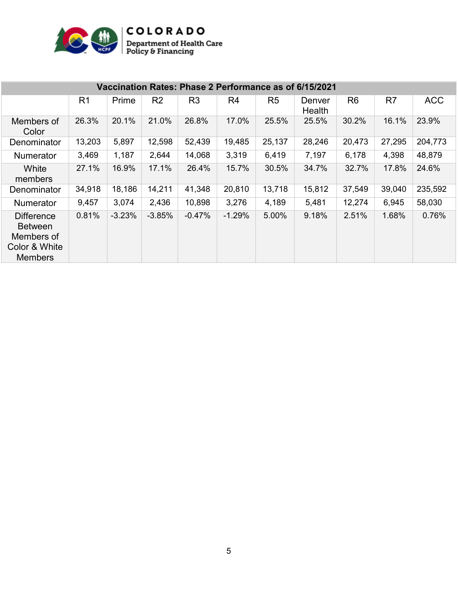

|                                                                                      | Vaccination Rates: Phase 2 Performance as of 6/15/2021 |          |                |                |          |                |                  |                |        |            |
|--------------------------------------------------------------------------------------|--------------------------------------------------------|----------|----------------|----------------|----------|----------------|------------------|----------------|--------|------------|
|                                                                                      | R <sub>1</sub>                                         | Prime    | R <sub>2</sub> | R <sub>3</sub> | R4       | R <sub>5</sub> | Denver<br>Health | R <sub>6</sub> | R7     | <b>ACC</b> |
| Members of<br>Color                                                                  | 26.3%                                                  | 20.1%    | 21.0%          | 26.8%          | 17.0%    | 25.5%          | 25.5%            | 30.2%          | 16.1%  | 23.9%      |
| Denominator                                                                          | 13,203                                                 | 5,897    | 12,598         | 52,439         | 19,485   | 25,137         | 28,246           | 20,473         | 27,295 | 204,773    |
| <b>Numerator</b>                                                                     | 3,469                                                  | 1,187    | 2,644          | 14,068         | 3,319    | 6,419          | 7,197            | 6,178          | 4,398  | 48,879     |
| White<br>members                                                                     | 27.1%                                                  | 16.9%    | 17.1%          | 26.4%          | 15.7%    | 30.5%          | 34.7%            | 32.7%          | 17.8%  | 24.6%      |
| Denominator                                                                          | 34,918                                                 | 18,186   | 14,211         | 41,348         | 20,810   | 13,718         | 15,812           | 37,549         | 39,040 | 235,592    |
| <b>Numerator</b>                                                                     | 9,457                                                  | 3,074    | 2,436          | 10,898         | 3,276    | 4,189          | 5,481            | 12,274         | 6,945  | 58,030     |
| <b>Difference</b><br><b>Between</b><br>Members of<br>Color & White<br><b>Members</b> | 0.81%                                                  | $-3.23%$ | $-3.85%$       | $-0.47%$       | $-1.29%$ | 5.00%          | 9.18%            | 2.51%          | 1.68%  | 0.76%      |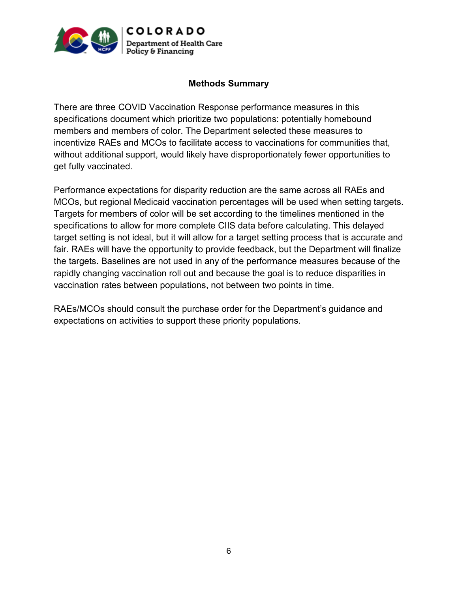

#### **Methods Summary**

There are three COVID Vaccination Response performance measures in this specifications document which prioritize two populations: potentially homebound members and members of color. The Department selected these measures to incentivize RAEs and MCOs to facilitate access to vaccinations for communities that, without additional support, would likely have disproportionately fewer opportunities to get fully vaccinated.

Performance expectations for disparity reduction are the same across all RAEs and MCOs, but regional Medicaid vaccination percentages will be used when setting targets. Targets for members of color will be set according to the timelines mentioned in the specifications to allow for more complete CIIS data before calculating. This delayed target setting is not ideal, but it will allow for a target setting process that is accurate and fair. RAEs will have the opportunity to provide feedback, but the Department will finalize the targets. Baselines are not used in any of the performance measures because of the rapidly changing vaccination roll out and because the goal is to reduce disparities in vaccination rates between populations, not between two points in time.

RAEs/MCOs should consult the purchase order for the Department's guidance and expectations on activities to support these priority populations.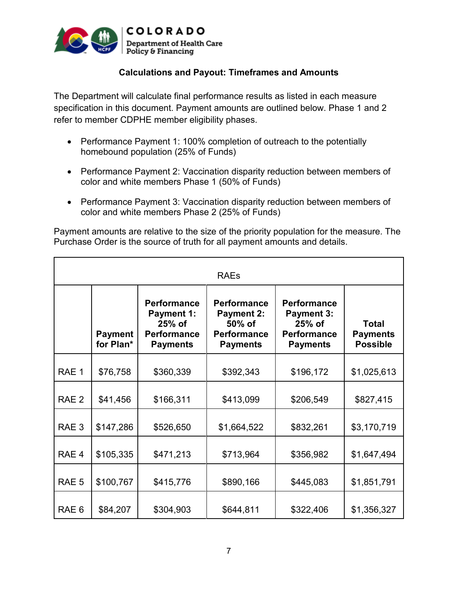

#### **Calculations and Payout: Timeframes and Amounts**

The Department will calculate final performance results as listed in each measure specification in this document. Payment amounts are outlined below. Phase 1 and 2 refer to member CDPHE member eligibility phases.

- Performance Payment 1: 100% completion of outreach to the potentially homebound population (25% of Funds)
- Performance Payment 2: Vaccination disparity reduction between members of color and white members Phase 1 (50% of Funds)
- Performance Payment 3: Vaccination disparity reduction between members of color and white members Phase 2 (25% of Funds)

Payment amounts are relative to the size of the priority population for the measure. The Purchase Order is the source of truth for all payment amounts and details.

|                  |                             |                                                                                            | <b>RAEs</b>                                                                                |                                                                                              |                                                    |
|------------------|-----------------------------|--------------------------------------------------------------------------------------------|--------------------------------------------------------------------------------------------|----------------------------------------------------------------------------------------------|----------------------------------------------------|
|                  | <b>Payment</b><br>for Plan* | <b>Performance</b><br><b>Payment 1:</b><br>25% of<br><b>Performance</b><br><b>Payments</b> | <b>Performance</b><br><b>Payment 2:</b><br>50% of<br><b>Performance</b><br><b>Payments</b> | <b>Performance</b><br><b>Payment 3:</b><br>$25%$ of<br><b>Performance</b><br><b>Payments</b> | <b>Total</b><br><b>Payments</b><br><b>Possible</b> |
| RAE 1            | \$76,758                    | \$360,339                                                                                  | \$392,343                                                                                  | \$196,172                                                                                    | \$1,025,613                                        |
| RAE <sub>2</sub> | \$41,456                    | \$166,311                                                                                  | \$413,099                                                                                  | \$206,549                                                                                    | \$827,415                                          |
| RAE <sub>3</sub> | \$147,286                   | \$526,650                                                                                  | \$1,664,522                                                                                | \$832,261                                                                                    | \$3,170,719                                        |
| RAE <sub>4</sub> | \$105,335                   | \$471,213                                                                                  | \$713,964                                                                                  | \$356,982                                                                                    | \$1,647,494                                        |
| RAE <sub>5</sub> | \$100,767                   | \$415,776                                                                                  | \$890,166                                                                                  | \$445,083                                                                                    | \$1,851,791                                        |
| RAE <sub>6</sub> | \$84,207                    | \$304,903                                                                                  | \$644,811                                                                                  | \$322,406                                                                                    | \$1,356,327                                        |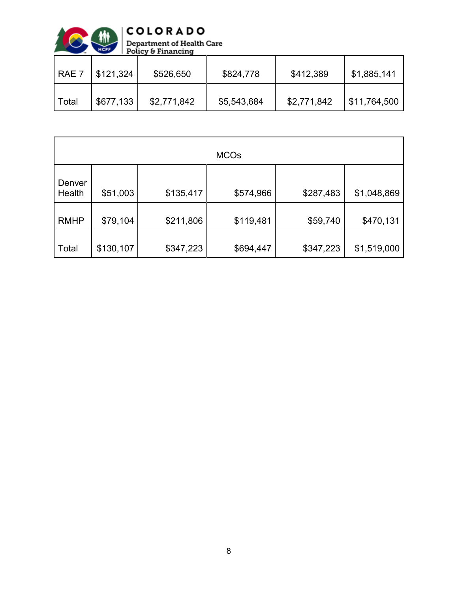

| $RAE$ 7 | \$121,324 | \$526,650   | \$824,778   | \$412,389   | \$1,885,141  |
|---------|-----------|-------------|-------------|-------------|--------------|
| Total   | \$677,133 | \$2,771,842 | \$5,543,684 | \$2,771,842 | \$11,764,500 |

|                  |           |           | <b>MCOs</b> |           |             |
|------------------|-----------|-----------|-------------|-----------|-------------|
| Denver<br>Health | \$51,003  | \$135,417 | \$574,966   | \$287,483 | \$1,048,869 |
| <b>RMHP</b>      | \$79,104  | \$211,806 | \$119,481   | \$59,740  | \$470,131   |
| Total            | \$130,107 | \$347,223 | \$694,447   | \$347,223 | \$1,519,000 |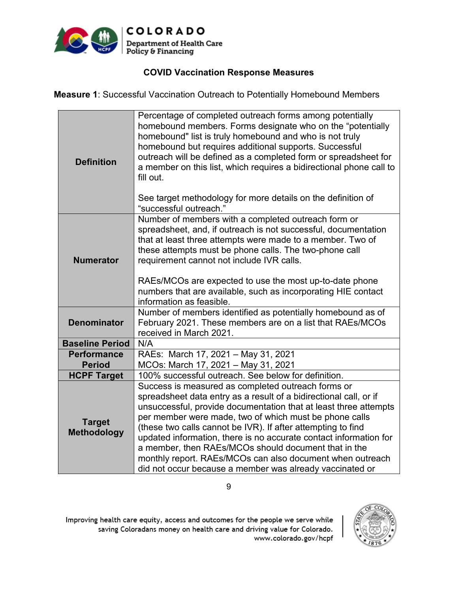

#### **COVID Vaccination Response Measures**

**Measure 1**: Successful Vaccination Outreach to Potentially Homebound Members

| <b>Definition</b>                   | Percentage of completed outreach forms among potentially<br>homebound members. Forms designate who on the "potentially<br>homebound" list is truly homebound and who is not truly<br>homebound but requires additional supports. Successful<br>outreach will be defined as a completed form or spreadsheet for<br>a member on this list, which requires a bidirectional phone call to<br>fill out.<br>See target methodology for more details on the definition of<br>"successful outreach."                                                                                |
|-------------------------------------|-----------------------------------------------------------------------------------------------------------------------------------------------------------------------------------------------------------------------------------------------------------------------------------------------------------------------------------------------------------------------------------------------------------------------------------------------------------------------------------------------------------------------------------------------------------------------------|
| <b>Numerator</b>                    | Number of members with a completed outreach form or<br>spreadsheet, and, if outreach is not successful, documentation<br>that at least three attempts were made to a member. Two of<br>these attempts must be phone calls. The two-phone call<br>requirement cannot not include IVR calls.<br>RAEs/MCOs are expected to use the most up-to-date phone<br>numbers that are available, such as incorporating HIE contact<br>information as feasible.                                                                                                                          |
| <b>Denominator</b>                  | Number of members identified as potentially homebound as of<br>February 2021. These members are on a list that RAEs/MCOs<br>received in March 2021.                                                                                                                                                                                                                                                                                                                                                                                                                         |
| <b>Baseline Period</b>              | N/A                                                                                                                                                                                                                                                                                                                                                                                                                                                                                                                                                                         |
| <b>Performance</b>                  | RAEs: March 17, 2021 - May 31, 2021                                                                                                                                                                                                                                                                                                                                                                                                                                                                                                                                         |
| <b>Period</b>                       | MCOs: March 17, 2021 - May 31, 2021                                                                                                                                                                                                                                                                                                                                                                                                                                                                                                                                         |
| <b>HCPF Target</b>                  | 100% successful outreach. See below for definition.                                                                                                                                                                                                                                                                                                                                                                                                                                                                                                                         |
| <b>Target</b><br><b>Methodology</b> | Success is measured as completed outreach forms or<br>spreadsheet data entry as a result of a bidirectional call, or if<br>unsuccessful, provide documentation that at least three attempts<br>per member were made, two of which must be phone calls<br>(these two calls cannot be IVR). If after attempting to find<br>updated information, there is no accurate contact information for<br>a member, then RAEs/MCOs should document that in the<br>monthly report. RAEs/MCOs can also document when outreach<br>did not occur because a member was already vaccinated or |

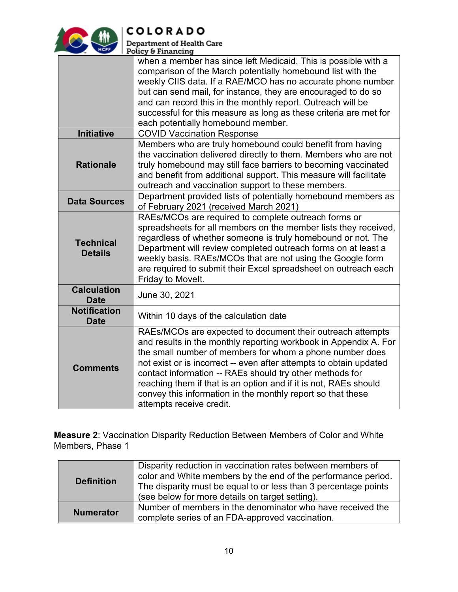

 $|COLORADO$ **Department of Health Care** 

| Policy & Financing                                                                                                                                                                                                                                                                                                                                                                                                                                                                          |
|---------------------------------------------------------------------------------------------------------------------------------------------------------------------------------------------------------------------------------------------------------------------------------------------------------------------------------------------------------------------------------------------------------------------------------------------------------------------------------------------|
| when a member has since left Medicaid. This is possible with a<br>comparison of the March potentially homebound list with the<br>weekly CIIS data. If a RAE/MCO has no accurate phone number<br>but can send mail, for instance, they are encouraged to do so<br>and can record this in the monthly report. Outreach will be<br>successful for this measure as long as these criteria are met for<br>each potentially homebound member.                                                     |
| <b>COVID Vaccination Response</b>                                                                                                                                                                                                                                                                                                                                                                                                                                                           |
| Members who are truly homebound could benefit from having<br>the vaccination delivered directly to them. Members who are not<br>truly homebound may still face barriers to becoming vaccinated<br>and benefit from additional support. This measure will facilitate<br>outreach and vaccination support to these members.                                                                                                                                                                   |
| Department provided lists of potentially homebound members as<br>of February 2021 (received March 2021)                                                                                                                                                                                                                                                                                                                                                                                     |
| RAEs/MCOs are required to complete outreach forms or<br>spreadsheets for all members on the member lists they received,<br>regardless of whether someone is truly homebound or not. The<br>Department will review completed outreach forms on at least a<br>weekly basis. RAEs/MCOs that are not using the Google form<br>are required to submit their Excel spreadsheet on outreach each<br>Friday to Movelt.                                                                              |
| June 30, 2021                                                                                                                                                                                                                                                                                                                                                                                                                                                                               |
| Within 10 days of the calculation date                                                                                                                                                                                                                                                                                                                                                                                                                                                      |
| RAEs/MCOs are expected to document their outreach attempts<br>and results in the monthly reporting workbook in Appendix A. For<br>the small number of members for whom a phone number does<br>not exist or is incorrect -- even after attempts to obtain updated<br>contact information -- RAEs should try other methods for<br>reaching them if that is an option and if it is not, RAEs should<br>convey this information in the monthly report so that these<br>attempts receive credit. |
|                                                                                                                                                                                                                                                                                                                                                                                                                                                                                             |

**Measure 2**: Vaccination Disparity Reduction Between Members of Color and White Members, Phase 1

| <b>Definition</b> | Disparity reduction in vaccination rates between members of<br>color and White members by the end of the performance period.<br>The disparity must be equal to or less than 3 percentage points<br>(see below for more details on target setting). |
|-------------------|----------------------------------------------------------------------------------------------------------------------------------------------------------------------------------------------------------------------------------------------------|
| <b>Numerator</b>  | Number of members in the denominator who have received the<br>complete series of an FDA-approved vaccination.                                                                                                                                      |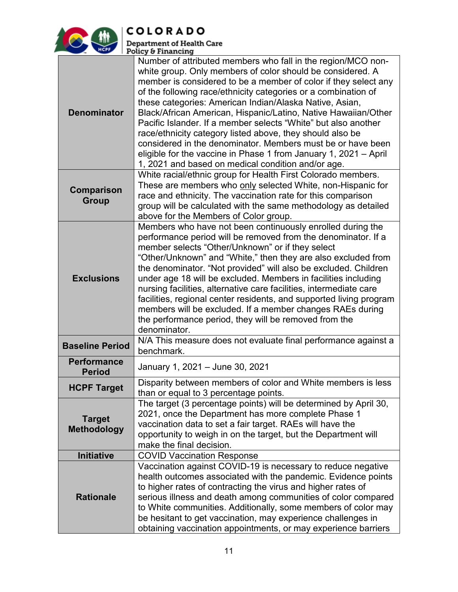

COLORADO

Department of Health Care<br>Policy & Financing

| <b>Denominator</b>                  | Number of attributed members who fall in the region/MCO non-<br>white group. Only members of color should be considered. A<br>member is considered to be a member of color if they select any<br>of the following race/ethnicity categories or a combination of<br>these categories: American Indian/Alaska Native, Asian,<br>Black/African American, Hispanic/Latino, Native Hawaiian/Other<br>Pacific Islander. If a member selects "White" but also another<br>race/ethnicity category listed above, they should also be<br>considered in the denominator. Members must be or have been<br>eligible for the vaccine in Phase 1 from January 1, 2021 – April<br>1, 2021 and based on medical condition and/or age. |
|-------------------------------------|----------------------------------------------------------------------------------------------------------------------------------------------------------------------------------------------------------------------------------------------------------------------------------------------------------------------------------------------------------------------------------------------------------------------------------------------------------------------------------------------------------------------------------------------------------------------------------------------------------------------------------------------------------------------------------------------------------------------|
| <b>Comparison</b><br><b>Group</b>   | White racial/ethnic group for Health First Colorado members.<br>These are members who only selected White, non-Hispanic for<br>race and ethnicity. The vaccination rate for this comparison<br>group will be calculated with the same methodology as detailed<br>above for the Members of Color group.                                                                                                                                                                                                                                                                                                                                                                                                               |
| <b>Exclusions</b>                   | Members who have not been continuously enrolled during the<br>performance period will be removed from the denominator. If a<br>member selects "Other/Unknown" or if they select<br>"Other/Unknown" and "White," then they are also excluded from<br>the denominator. "Not provided" will also be excluded. Children<br>under age 18 will be excluded. Members in facilities including<br>nursing facilities, alternative care facilities, intermediate care<br>facilities, regional center residents, and supported living program<br>members will be excluded. If a member changes RAEs during<br>the performance period, they will be removed from the<br>denominator.                                             |
| <b>Baseline Period</b>              | N/A This measure does not evaluate final performance against a<br>benchmark.                                                                                                                                                                                                                                                                                                                                                                                                                                                                                                                                                                                                                                         |
| <b>Performance</b><br><b>Period</b> | January 1, 2021 - June 30, 2021                                                                                                                                                                                                                                                                                                                                                                                                                                                                                                                                                                                                                                                                                      |
| <b>HCPF Target</b>                  | Disparity between members of color and White members is less<br>than or equal to 3 percentage points.                                                                                                                                                                                                                                                                                                                                                                                                                                                                                                                                                                                                                |
| <b>Target</b><br><b>Methodology</b> | The target (3 percentage points) will be determined by April 30,<br>2021, once the Department has more complete Phase 1<br>vaccination data to set a fair target. RAEs will have the<br>opportunity to weigh in on the target, but the Department will<br>make the final decision.                                                                                                                                                                                                                                                                                                                                                                                                                                   |
| Initiative                          | <b>COVID Vaccination Response</b>                                                                                                                                                                                                                                                                                                                                                                                                                                                                                                                                                                                                                                                                                    |
| <b>Rationale</b>                    | Vaccination against COVID-19 is necessary to reduce negative<br>health outcomes associated with the pandemic. Evidence points<br>to higher rates of contracting the virus and higher rates of<br>serious illness and death among communities of color compared<br>to White communities. Additionally, some members of color may<br>be hesitant to get vaccination, may experience challenges in<br>obtaining vaccination appointments, or may experience barriers                                                                                                                                                                                                                                                    |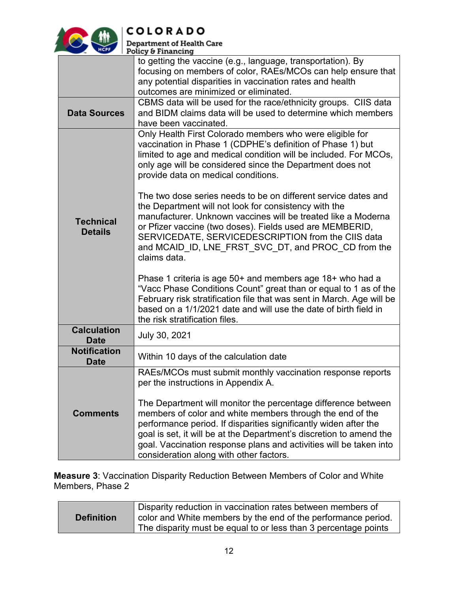

**COLORADO** 

| Department of Health Care |  |
|---------------------------|--|
|                           |  |
| Policy & Financing        |  |

|                                    | 5.11011519                                                                                                                                                                                                                                                                                                                                                                        |
|------------------------------------|-----------------------------------------------------------------------------------------------------------------------------------------------------------------------------------------------------------------------------------------------------------------------------------------------------------------------------------------------------------------------------------|
|                                    | to getting the vaccine (e.g., language, transportation). By<br>focusing on members of color, RAEs/MCOs can help ensure that<br>any potential disparities in vaccination rates and health<br>outcomes are minimized or eliminated.                                                                                                                                                 |
| <b>Data Sources</b>                | CBMS data will be used for the race/ethnicity groups. CIIS data<br>and BIDM claims data will be used to determine which members<br>have been vaccinated.                                                                                                                                                                                                                          |
|                                    | Only Health First Colorado members who were eligible for<br>vaccination in Phase 1 (CDPHE's definition of Phase 1) but<br>limited to age and medical condition will be included. For MCOs,<br>only age will be considered since the Department does not<br>provide data on medical conditions.                                                                                    |
| <b>Technical</b><br><b>Details</b> | The two dose series needs to be on different service dates and<br>the Department will not look for consistency with the<br>manufacturer. Unknown vaccines will be treated like a Moderna<br>or Pfizer vaccine (two doses). Fields used are MEMBERID,<br>SERVICEDATE, SERVICEDESCRIPTION from the CIIS data<br>and MCAID ID, LNE FRST SVC DT, and PROC CD from the<br>claims data. |
|                                    | Phase 1 criteria is age 50+ and members age 18+ who had a<br>"Vacc Phase Conditions Count" great than or equal to 1 as of the<br>February risk stratification file that was sent in March. Age will be<br>based on a 1/1/2021 date and will use the date of birth field in<br>the risk stratification files.                                                                      |
| <b>Calculation</b><br><b>Date</b>  | July 30, 2021                                                                                                                                                                                                                                                                                                                                                                     |
| <b>Notification</b><br><b>Date</b> | Within 10 days of the calculation date                                                                                                                                                                                                                                                                                                                                            |
| <b>Comments</b>                    | RAEs/MCOs must submit monthly vaccination response reports<br>per the instructions in Appendix A.<br>The Department will monitor the percentage difference between<br>members of color and white members through the end of the<br>performance period. If disparities significantly widen after the<br>goal is set, it will be at the Department's discretion to amend the        |
|                                    | goal. Vaccination response plans and activities will be taken into<br>consideration along with other factors.                                                                                                                                                                                                                                                                     |

**Measure 3**: Vaccination Disparity Reduction Between Members of Color and White Members, Phase 2

| <b>Definition</b> | Disparity reduction in vaccination rates between members of<br>color and White members by the end of the performance period.<br>The disparity must be equal to or less than 3 percentage points |
|-------------------|-------------------------------------------------------------------------------------------------------------------------------------------------------------------------------------------------|
|                   |                                                                                                                                                                                                 |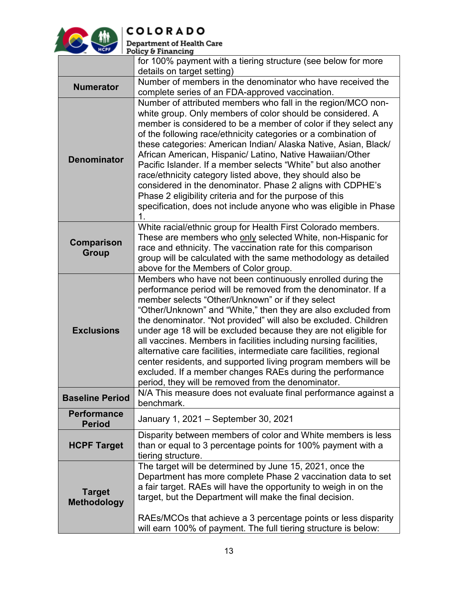

# **COLORADO**<br>Department of Health Care<br>Policy & Financing

|                                     | for 100% payment with a tiering structure (see below for more                                                                                                                                                                                                                                                                                                                                                                                                                                                                                                                                                                                                                                                                      |  |  |  |  |  |
|-------------------------------------|------------------------------------------------------------------------------------------------------------------------------------------------------------------------------------------------------------------------------------------------------------------------------------------------------------------------------------------------------------------------------------------------------------------------------------------------------------------------------------------------------------------------------------------------------------------------------------------------------------------------------------------------------------------------------------------------------------------------------------|--|--|--|--|--|
|                                     | details on target setting)                                                                                                                                                                                                                                                                                                                                                                                                                                                                                                                                                                                                                                                                                                         |  |  |  |  |  |
| <b>Numerator</b>                    | Number of members in the denominator who have received the<br>complete series of an FDA-approved vaccination.                                                                                                                                                                                                                                                                                                                                                                                                                                                                                                                                                                                                                      |  |  |  |  |  |
| <b>Denominator</b>                  | Number of attributed members who fall in the region/MCO non-<br>white group. Only members of color should be considered. A<br>member is considered to be a member of color if they select any<br>of the following race/ethnicity categories or a combination of<br>these categories: American Indian/ Alaska Native, Asian, Black/<br>African American, Hispanic/ Latino, Native Hawaiian/Other<br>Pacific Islander. If a member selects "White" but also another<br>race/ethnicity category listed above, they should also be<br>considered in the denominator. Phase 2 aligns with CDPHE's<br>Phase 2 eligibility criteria and for the purpose of this<br>specification, does not include anyone who was eligible in Phase<br>1. |  |  |  |  |  |
| Comparison<br><b>Group</b>          | White racial/ethnic group for Health First Colorado members.<br>These are members who only selected White, non-Hispanic for<br>race and ethnicity. The vaccination rate for this comparison<br>group will be calculated with the same methodology as detailed<br>above for the Members of Color group.                                                                                                                                                                                                                                                                                                                                                                                                                             |  |  |  |  |  |
| <b>Exclusions</b>                   | Members who have not been continuously enrolled during the<br>performance period will be removed from the denominator. If a<br>member selects "Other/Unknown" or if they select<br>"Other/Unknown" and "White," then they are also excluded from<br>the denominator. "Not provided" will also be excluded. Children<br>under age 18 will be excluded because they are not eligible for<br>all vaccines. Members in facilities including nursing facilities,<br>alternative care facilities, intermediate care facilities, regional<br>center residents, and supported living program members will be<br>excluded. If a member changes RAEs during the performance<br>period, they will be removed from the denominator.            |  |  |  |  |  |
| <b>Baseline Period</b>              | N/A This measure does not evaluate final performance against a<br>benchmark.                                                                                                                                                                                                                                                                                                                                                                                                                                                                                                                                                                                                                                                       |  |  |  |  |  |
| <b>Performance</b><br><b>Period</b> | January 1, 2021 - September 30, 2021                                                                                                                                                                                                                                                                                                                                                                                                                                                                                                                                                                                                                                                                                               |  |  |  |  |  |
| <b>HCPF Target</b>                  | Disparity between members of color and White members is less<br>than or equal to 3 percentage points for 100% payment with a<br>tiering structure.                                                                                                                                                                                                                                                                                                                                                                                                                                                                                                                                                                                 |  |  |  |  |  |
| <b>Target</b><br><b>Methodology</b> | The target will be determined by June 15, 2021, once the<br>Department has more complete Phase 2 vaccination data to set<br>a fair target. RAEs will have the opportunity to weigh in on the<br>target, but the Department will make the final decision.<br>RAEs/MCOs that achieve a 3 percentage points or less disparity<br>will earn 100% of payment. The full tiering structure is below:                                                                                                                                                                                                                                                                                                                                      |  |  |  |  |  |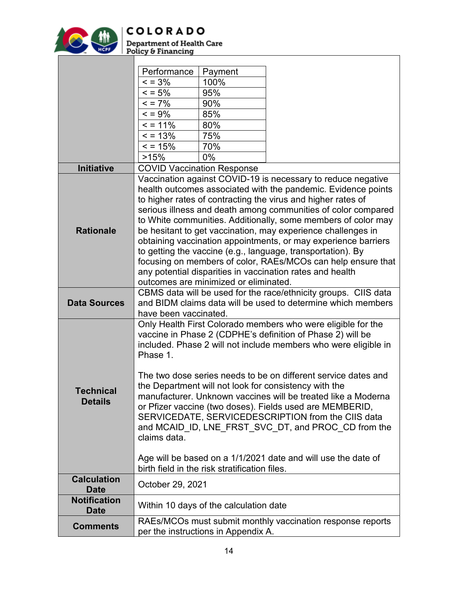

**Department of Health Care<br>Policy & Financing** 

|                                   | Performance                                                                                                                   | Payment                                       |                                                                                                                                 |  |  |  |
|-----------------------------------|-------------------------------------------------------------------------------------------------------------------------------|-----------------------------------------------|---------------------------------------------------------------------------------------------------------------------------------|--|--|--|
|                                   | $\leq$ = 3%                                                                                                                   | 100%                                          |                                                                                                                                 |  |  |  |
|                                   | $= 5\%$                                                                                                                       | 95%                                           |                                                                                                                                 |  |  |  |
|                                   | $= 7\%$                                                                                                                       | 90%                                           |                                                                                                                                 |  |  |  |
|                                   | $\leq$ = 9%                                                                                                                   | 85%                                           |                                                                                                                                 |  |  |  |
|                                   | $= 11%$                                                                                                                       | 80%                                           |                                                                                                                                 |  |  |  |
|                                   | $= 13%$                                                                                                                       | 75%                                           |                                                                                                                                 |  |  |  |
|                                   | $= 15%$                                                                                                                       | 70%                                           |                                                                                                                                 |  |  |  |
|                                   | >15%                                                                                                                          | $0\%$                                         |                                                                                                                                 |  |  |  |
| <b>Initiative</b>                 |                                                                                                                               | <b>COVID Vaccination Response</b>             |                                                                                                                                 |  |  |  |
|                                   |                                                                                                                               |                                               | Vaccination against COVID-19 is necessary to reduce negative                                                                    |  |  |  |
|                                   |                                                                                                                               |                                               | health outcomes associated with the pandemic. Evidence points                                                                   |  |  |  |
|                                   |                                                                                                                               |                                               | to higher rates of contracting the virus and higher rates of                                                                    |  |  |  |
|                                   |                                                                                                                               |                                               | serious illness and death among communities of color compared                                                                   |  |  |  |
|                                   |                                                                                                                               |                                               | to White communities. Additionally, some members of color may                                                                   |  |  |  |
| <b>Rationale</b>                  |                                                                                                                               |                                               | be hesitant to get vaccination, may experience challenges in                                                                    |  |  |  |
|                                   |                                                                                                                               |                                               | obtaining vaccination appointments, or may experience barriers                                                                  |  |  |  |
|                                   |                                                                                                                               |                                               | to getting the vaccine (e.g., language, transportation). By                                                                     |  |  |  |
|                                   | focusing on members of color, RAEs/MCOs can help ensure that                                                                  |                                               |                                                                                                                                 |  |  |  |
|                                   |                                                                                                                               |                                               | any potential disparities in vaccination rates and health                                                                       |  |  |  |
|                                   |                                                                                                                               | outcomes are minimized or eliminated.         |                                                                                                                                 |  |  |  |
|                                   |                                                                                                                               |                                               | CBMS data will be used for the race/ethnicity groups. CIIS data<br>and BIDM claims data will be used to determine which members |  |  |  |
| <b>Data Sources</b>               | have been vaccinated.                                                                                                         |                                               |                                                                                                                                 |  |  |  |
|                                   |                                                                                                                               |                                               |                                                                                                                                 |  |  |  |
|                                   | Only Health First Colorado members who were eligible for the                                                                  |                                               |                                                                                                                                 |  |  |  |
|                                   | vaccine in Phase 2 (CDPHE's definition of Phase 2) will be<br>included. Phase 2 will not include members who were eligible in |                                               |                                                                                                                                 |  |  |  |
|                                   | Phase 1.                                                                                                                      |                                               |                                                                                                                                 |  |  |  |
|                                   |                                                                                                                               |                                               |                                                                                                                                 |  |  |  |
|                                   | The two dose series needs to be on different service dates and                                                                |                                               |                                                                                                                                 |  |  |  |
|                                   | the Department will not look for consistency with the                                                                         |                                               |                                                                                                                                 |  |  |  |
| <b>Technical</b>                  | manufacturer. Unknown vaccines will be treated like a Moderna                                                                 |                                               |                                                                                                                                 |  |  |  |
| <b>Details</b>                    | or Pfizer vaccine (two doses). Fields used are MEMBERID,                                                                      |                                               |                                                                                                                                 |  |  |  |
|                                   |                                                                                                                               |                                               | SERVICEDATE, SERVICEDESCRIPTION from the CIIS data                                                                              |  |  |  |
|                                   |                                                                                                                               |                                               | and MCAID_ID, LNE_FRST_SVC_DT, and PROC_CD from the                                                                             |  |  |  |
|                                   | claims data.                                                                                                                  |                                               |                                                                                                                                 |  |  |  |
|                                   |                                                                                                                               |                                               |                                                                                                                                 |  |  |  |
|                                   |                                                                                                                               |                                               | Age will be based on a 1/1/2021 date and will use the date of                                                                   |  |  |  |
|                                   |                                                                                                                               | birth field in the risk stratification files. |                                                                                                                                 |  |  |  |
| <b>Calculation</b><br><b>Date</b> | October 29, 2021                                                                                                              |                                               |                                                                                                                                 |  |  |  |
| <b>Notification</b>               |                                                                                                                               |                                               |                                                                                                                                 |  |  |  |
| <b>Date</b>                       |                                                                                                                               | Within 10 days of the calculation date        |                                                                                                                                 |  |  |  |
| <b>Comments</b>                   |                                                                                                                               |                                               | RAEs/MCOs must submit monthly vaccination response reports                                                                      |  |  |  |
|                                   |                                                                                                                               | per the instructions in Appendix A.           |                                                                                                                                 |  |  |  |

ヿ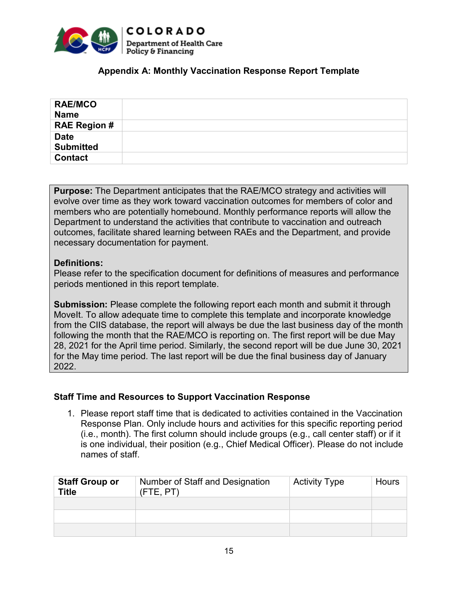

#### **Appendix A: Monthly Vaccination Response Report Template**

| <b>RAE/MCO</b><br><b>Name</b> |  |
|-------------------------------|--|
| <b>RAE Region #</b>           |  |
| <b>Date</b>                   |  |
| <b>Submitted</b>              |  |
| <b>Contact</b>                |  |

**Purpose:** The Department anticipates that the RAE/MCO strategy and activities will evolve over time as they work toward vaccination outcomes for members of color and members who are potentially homebound. Monthly performance reports will allow the Department to understand the activities that contribute to vaccination and outreach outcomes, facilitate shared learning between RAEs and the Department, and provide necessary documentation for payment.

#### **Definitions:**

Please refer to the specification document for definitions of measures and performance periods mentioned in this report template.

**Submission:** Please complete the following report each month and submit it through MoveIt. To allow adequate time to complete this template and incorporate knowledge from the CIIS database, the report will always be due the last business day of the month following the month that the RAE/MCO is reporting on. The first report will be due May 28, 2021 for the April time period. Similarly, the second report will be due June 30, 2021 for the May time period. The last report will be due the final business day of January 2022.

#### **Staff Time and Resources to Support Vaccination Response**

1. Please report staff time that is dedicated to activities contained in the Vaccination Response Plan. Only include hours and activities for this specific reporting period (i.e., month). The first column should include groups (e.g., call center staff) or if it is one individual, their position (e.g., Chief Medical Officer). Please do not include names of staff.

| <b>Staff Group or</b><br><b>Title</b> | Number of Staff and Designation<br>$($ FTE, $PT$ $)$ | <b>Activity Type</b> | <b>Hours</b> |
|---------------------------------------|------------------------------------------------------|----------------------|--------------|
|                                       |                                                      |                      |              |
|                                       |                                                      |                      |              |
|                                       |                                                      |                      |              |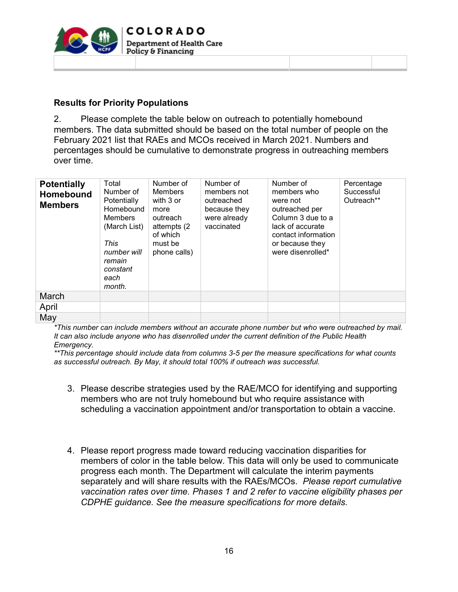

#### **Results for Priority Populations**

2. Please complete the table below on outreach to potentially homebound members. The data submitted should be based on the total number of people on the February 2021 list that RAEs and MCOs received in March 2021. Numbers and percentages should be cumulative to demonstrate progress in outreaching members over time.

| <b>Potentially</b><br><b>Homebound</b><br><b>Members</b> | Total<br>Number of<br>Potentially<br>Homebound<br><b>Members</b><br>(March List)<br>This<br>number will<br>remain<br>constant<br>each<br>month. | Number of<br>Members<br>with 3 or<br>more<br>outreach<br>attempts (2)<br>of which<br>must be<br>phone calls) | Number of<br>members not<br>outreached<br>because they<br>were already<br>vaccinated | Number of<br>members who<br>were not<br>outreached per<br>Column 3 due to a<br>lack of accurate<br>contact information<br>or because they<br>were disenrolled* | Percentage<br>Successful<br>Outreach** |
|----------------------------------------------------------|-------------------------------------------------------------------------------------------------------------------------------------------------|--------------------------------------------------------------------------------------------------------------|--------------------------------------------------------------------------------------|----------------------------------------------------------------------------------------------------------------------------------------------------------------|----------------------------------------|
| March                                                    |                                                                                                                                                 |                                                                                                              |                                                                                      |                                                                                                                                                                |                                        |
| April                                                    |                                                                                                                                                 |                                                                                                              |                                                                                      |                                                                                                                                                                |                                        |
| May                                                      |                                                                                                                                                 |                                                                                                              |                                                                                      |                                                                                                                                                                |                                        |

*\*This number can include members without an accurate phone number but who were outreached by mail. It can also include anyone who has disenrolled under the current definition of the Public Health Emergency.*

*\*\*This percentage should include data from columns 3-5 per the measure specifications for what counts as successful outreach. By May, it should total 100% if outreach was successful.*

- 3. Please describe strategies used by the RAE/MCO for identifying and supporting members who are not truly homebound but who require assistance with scheduling a vaccination appointment and/or transportation to obtain a vaccine.
- 4. Please report progress made toward reducing vaccination disparities for members of color in the table below. This data will only be used to communicate progress each month. The Department will calculate the interim payments separately and will share results with the RAEs/MCOs. *Please report cumulative vaccination rates over time. Phases 1 and 2 refer to vaccine eligibility phases per CDPHE guidance. See the measure specifications for more details.*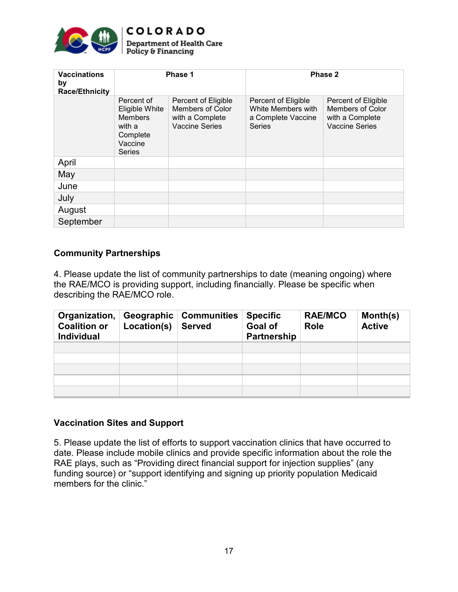

#### **COLORADO Department of Health Care** Policy & Financing

| <b>Vaccinations</b><br>by<br><b>Race/Ethnicity</b> | Phase 1                                                                                          |                                                                              | Phase 2                                                                          |                                                                                            |  |
|----------------------------------------------------|--------------------------------------------------------------------------------------------------|------------------------------------------------------------------------------|----------------------------------------------------------------------------------|--------------------------------------------------------------------------------------------|--|
|                                                    | Percent of<br>Eligible White<br><b>Members</b><br>with a<br>Complete<br>Vaccine<br><b>Series</b> | Percent of Eligible<br>Members of Color<br>with a Complete<br>Vaccine Series | Percent of Eligible<br>White Members with<br>a Complete Vaccine<br><b>Series</b> | Percent of Eligible<br><b>Members of Color</b><br>with a Complete<br><b>Vaccine Series</b> |  |
| April                                              |                                                                                                  |                                                                              |                                                                                  |                                                                                            |  |
| May                                                |                                                                                                  |                                                                              |                                                                                  |                                                                                            |  |
| June                                               |                                                                                                  |                                                                              |                                                                                  |                                                                                            |  |
| July                                               |                                                                                                  |                                                                              |                                                                                  |                                                                                            |  |
| August                                             |                                                                                                  |                                                                              |                                                                                  |                                                                                            |  |
| September                                          |                                                                                                  |                                                                              |                                                                                  |                                                                                            |  |

#### **Community Partnerships**

4. Please update the list of community partnerships to date (meaning ongoing) where the RAE/MCO is providing support, including financially. Please be specific when describing the RAE/MCO role.

| Organization,<br><b>Coalition or</b><br><b>Individual</b> | Geographic<br>Location(s) | <b>Communities</b><br><b>Served</b> | <b>Specific</b><br><b>Goal of</b><br>Partnership | <b>RAE/MCO</b><br><b>Role</b> | Month(s)<br><b>Active</b> |
|-----------------------------------------------------------|---------------------------|-------------------------------------|--------------------------------------------------|-------------------------------|---------------------------|
|                                                           |                           |                                     |                                                  |                               |                           |
|                                                           |                           |                                     |                                                  |                               |                           |
|                                                           |                           |                                     |                                                  |                               |                           |
|                                                           |                           |                                     |                                                  |                               |                           |
|                                                           |                           |                                     |                                                  |                               |                           |

#### **Vaccination Sites and Support**

5. Please update the list of efforts to support vaccination clinics that have occurred to date. Please include mobile clinics and provide specific information about the role the RAE plays, such as "Providing direct financial support for injection supplies" (any funding source) or "support identifying and signing up priority population Medicaid members for the clinic."